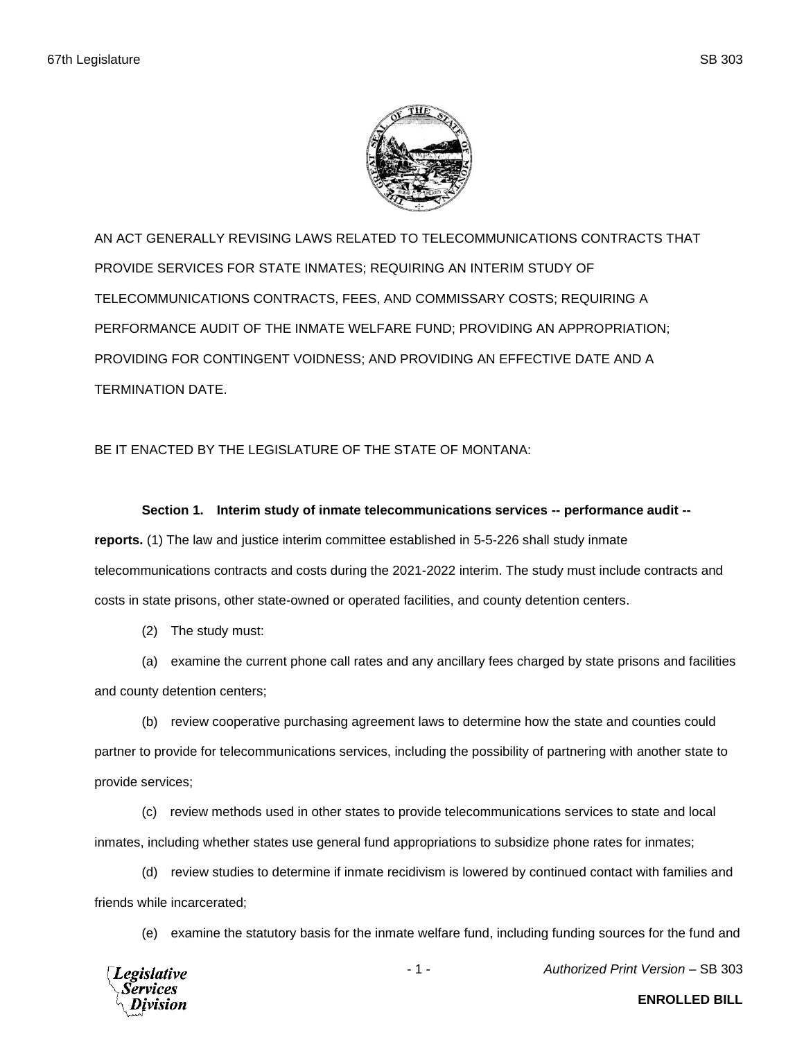

AN ACT GENERALLY REVISING LAWS RELATED TO TELECOMMUNICATIONS CONTRACTS THAT PROVIDE SERVICES FOR STATE INMATES; REQUIRING AN INTERIM STUDY OF TELECOMMUNICATIONS CONTRACTS, FEES, AND COMMISSARY COSTS; REQUIRING A PERFORMANCE AUDIT OF THE INMATE WELFARE FUND; PROVIDING AN APPROPRIATION; PROVIDING FOR CONTINGENT VOIDNESS; AND PROVIDING AN EFFECTIVE DATE AND A TERMINATION DATE.

## BE IT ENACTED BY THE LEGISLATURE OF THE STATE OF MONTANA:

## **Section 1. Interim study of inmate telecommunications services -- performance audit --**

**reports.** (1) The law and justice interim committee established in 5-5-226 shall study inmate telecommunications contracts and costs during the 2021-2022 interim. The study must include contracts and costs in state prisons, other state-owned or operated facilities, and county detention centers.

(2) The study must:

(a) examine the current phone call rates and any ancillary fees charged by state prisons and facilities and county detention centers;

(b) review cooperative purchasing agreement laws to determine how the state and counties could partner to provide for telecommunications services, including the possibility of partnering with another state to provide services;

(c) review methods used in other states to provide telecommunications services to state and local inmates, including whether states use general fund appropriations to subsidize phone rates for inmates;

(d) review studies to determine if inmate recidivism is lowered by continued contact with families and friends while incarcerated;

(e) examine the statutory basis for the inmate welfare fund, including funding sources for the fund and



- 1 - *Authorized Print Version* – SB 303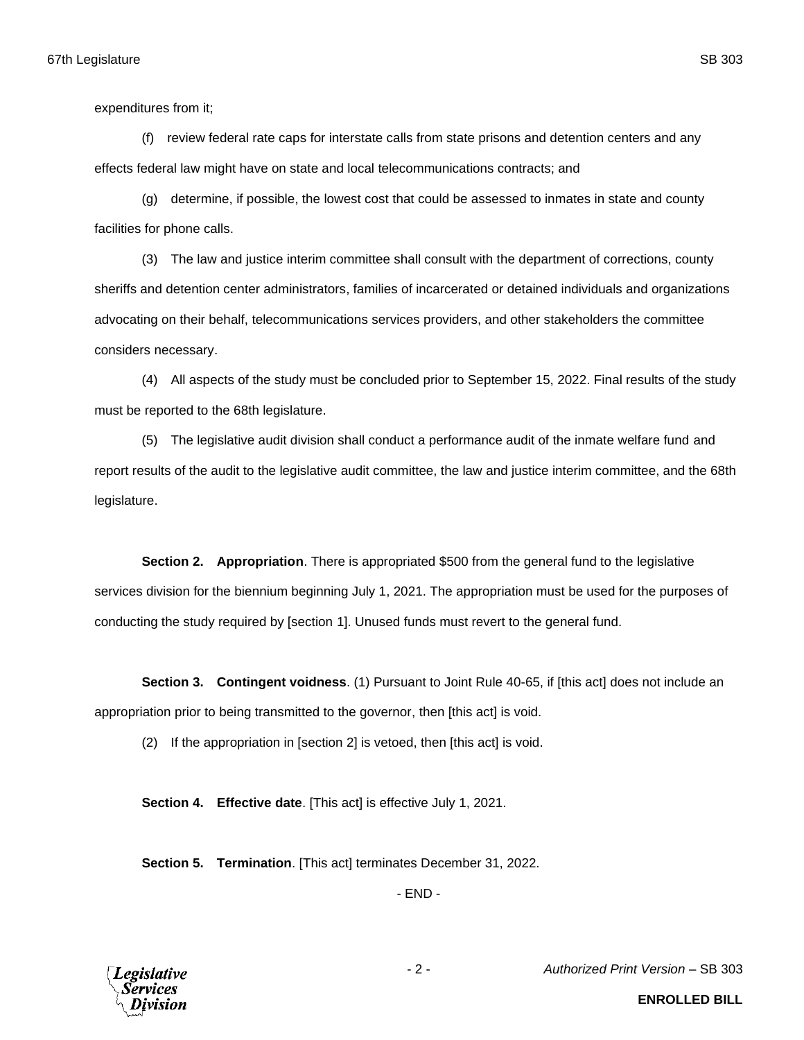expenditures from it;

(f) review federal rate caps for interstate calls from state prisons and detention centers and any effects federal law might have on state and local telecommunications contracts; and

(g) determine, if possible, the lowest cost that could be assessed to inmates in state and county facilities for phone calls.

(3) The law and justice interim committee shall consult with the department of corrections, county sheriffs and detention center administrators, families of incarcerated or detained individuals and organizations advocating on their behalf, telecommunications services providers, and other stakeholders the committee considers necessary.

(4) All aspects of the study must be concluded prior to September 15, 2022. Final results of the study must be reported to the 68th legislature.

(5) The legislative audit division shall conduct a performance audit of the inmate welfare fund and report results of the audit to the legislative audit committee, the law and justice interim committee, and the 68th legislature.

**Section 2. Appropriation**. There is appropriated \$500 from the general fund to the legislative services division for the biennium beginning July 1, 2021. The appropriation must be used for the purposes of conducting the study required by [section 1]. Unused funds must revert to the general fund.

**Section 3. Contingent voidness**. (1) Pursuant to Joint Rule 40-65, if [this act] does not include an appropriation prior to being transmitted to the governor, then [this act] is void.

(2) If the appropriation in [section 2] is vetoed, then [this act] is void.

**Section 4. Effective date**. [This act] is effective July 1, 2021.

**Section 5. Termination**. [This act] terminates December 31, 2022.

- END -



- 2 - *Authorized Print Version* – SB 303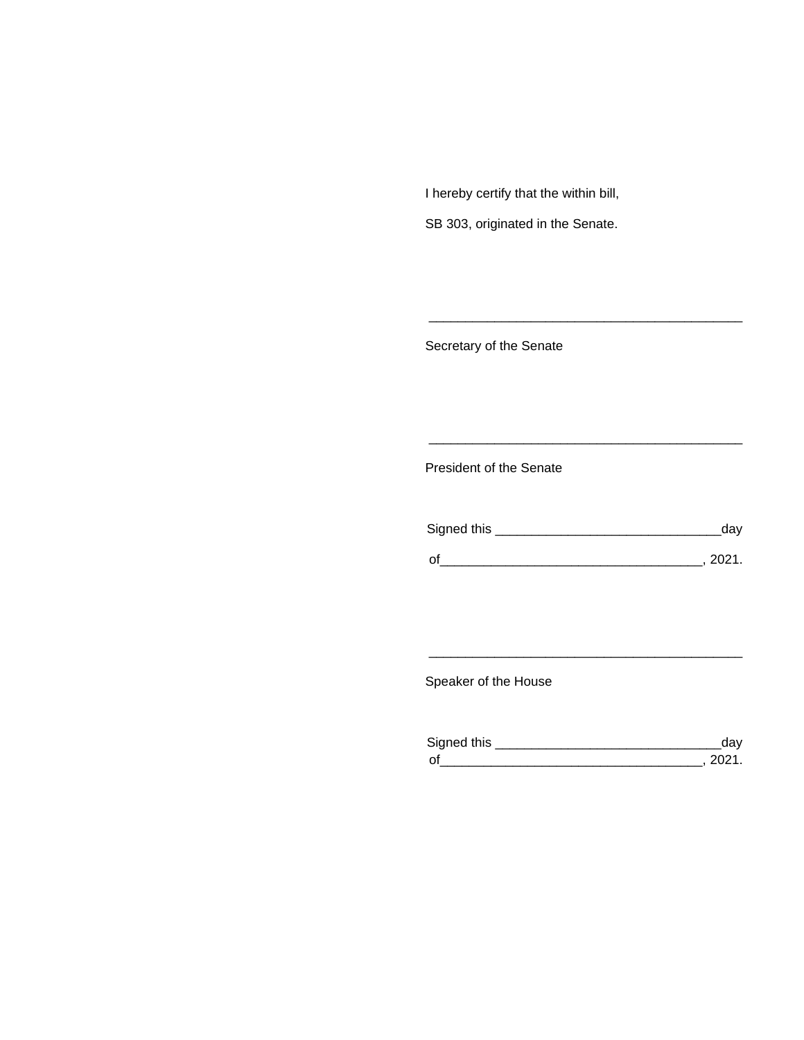I hereby certify that the within bill,

SB 303, originated in the Senate.

Secretary of the Senate

President of the Senate

| Signed this | ua v   |
|-------------|--------|
|             |        |
| $\Omega$    | 111111 |

\_\_\_\_\_\_\_\_\_\_\_\_\_\_\_\_\_\_\_\_\_\_\_\_\_\_\_\_\_\_\_\_\_\_\_\_\_\_\_\_\_\_\_

\_\_\_\_\_\_\_\_\_\_\_\_\_\_\_\_\_\_\_\_\_\_\_\_\_\_\_\_\_\_\_\_\_\_\_\_\_\_\_\_\_\_\_

Speaker of the House

| Sianed this |  |
|-------------|--|
| $\Omega$    |  |

\_\_\_\_\_\_\_\_\_\_\_\_\_\_\_\_\_\_\_\_\_\_\_\_\_\_\_\_\_\_\_\_\_\_\_\_\_\_\_\_\_\_\_